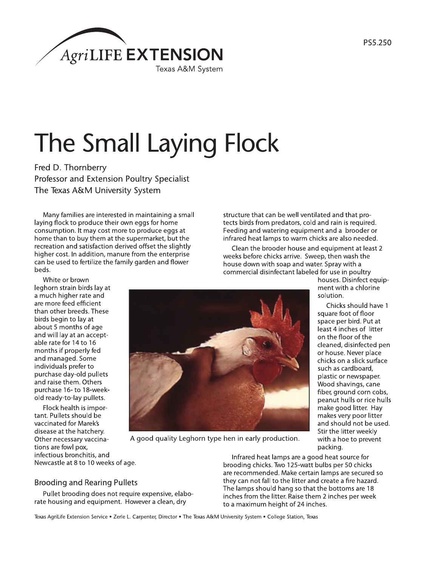

# The Small Laying Flock

Fred D. Thornberry Professor and Extension Poultry Specialist The Texas A&M University System

Many families are interested in maintaining a small laying flock to produce their own eggs for home consumption. It may cost more to produce eggs at home than to buy them at the supermarket, but the recreation and satisfaction derived offset the slightly higher cost. In addition, manure from the enterprise can be used to fertilize the family garden and flower beds.

White or brown leghorn strain birds lay at a much higher rate and are more feed efficient than other breeds. These birds begin to lay at about 5 months of age and will lay at an acceptable rate for 14 to 16 months if properly fed and managed. Some individuals prefer to purchase day-old pullets and raise them. Others purchase 16- to 18-weekold ready-to-lay pullets.

Flock health is important. Pullets should be vaccinated for Marek's disease at the hatchery. Other necessary vaccinations are fowl pox, infectious bronchitis, and Newcastle at 8 to 10 weeks of age.

structure that can be well ventilated and that protects birds from predators, cold and rain is required. Feeding and watering equipment and a brooder or infrared heat lamps to warm chicks are also needed.

Clean the brooder house and equipment at least 2 weeks before chicks arrive. Sweep, then wash the house down with soap and water. Spray with a commercial disinfectant labeled for use in poultry

houses. Disinfect equipment with a chlorine solution.

Chicks should have 1 square foot of floor space per bird. Put at least 4 inches of litter on the floor of the cleaned, disinfected pen or house. Never place chicks on a slick surface such as cardboard. plastic or newspaper. Wood shavings, cane fiber, ground corn cobs, peanut hulls or rice hulls make good litter. Hay makes very poor litter and should not be used. Stir the litter weekly with a hoe to prevent packing.



A good quality Leghorn type hen in early production.

**Brooding and Rearing Pullets** 

Pullet brooding does not require expensive, elaborate housing and equipment. However a clean, dry

Infrared heat lamps are a good heat source for brooding chicks. Two 125-watt bulbs per 50 chicks are recommended. Make certain lamps are secured so they can not fall to the litter and create a fire hazard. The lamps should hang so that the bottoms are 18 inches from the litter. Raise them 2 inches per week to a maximum height of 24 inches.

Texas AgriLife Extension Service . Zerle L. Carpenter, Director . The Texas A&M University System . College Station, Texas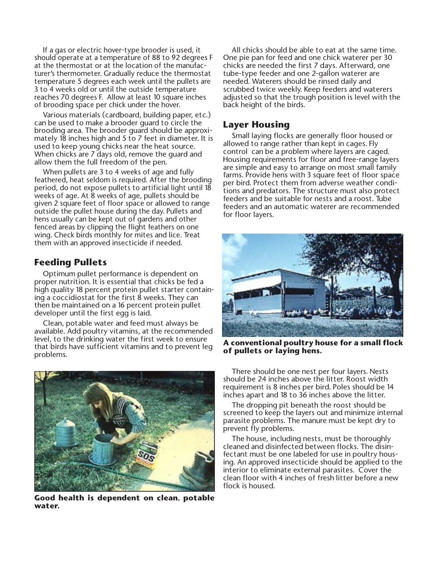If a gas or electric hover-type brooder is used, it should operate at a temperature of 88 to 92 degrees F at the thermostat or at the location of the manufacturer's thermometer. Gradually reduce the thermostat temperature 5 degrees each week until the pullets are 3 to 4 weeks old or until the outside temperature reaches 70 degrees F. Allow at least 10 square inches of brooding space per chick under the hover.

Various materials (cardboard, building paper, etc.) can be used to make a brooder guard to circle the brooding area. The brooder guard should be approximately 18 inches high and 5 to 7 feet in diameter. It is used to keep young chicks near the heat source. When chicks are 7 days old, remove the guard and allow them the full freedom of the pen.

When pullets are 3 to 4 weeks of age and fully feathered, heat seldom is required. After the brooding period, do not expose pullets to artificial light until 18 weeks of age. At 8 weeks of age, pullets should be given 2 square feet of floor space or allowed to range outside the pullet house during the day. Pullets and hens usually can be kept out of gardens and other fenced areas by clipping the flight feathers on one wing. Check birds monthly for mites and lice. Treat them with an approved insecticide if needed.

## **Feeding Pullets**

Optimum pullet performance is dependent on proper nutrition. It is essential that chicks be fed a high quality 18 percent protein pullet starter containing a coccidiostat for the first 8 weeks. They can then be maintained on a 16 percent protein pullet developer until the first egg is laid.

Clean, potable water and feed must always be available. Add poultry vitamins, at the recommended level, to the drinking water the first week to ensure that birds have sufficient vitamins and to prevent leg problems.



**Good health is dependent on clean, potable water.**

All chicks should be able to eat at the same time. One pie pan for feed and one chick waterer per 30 chicks are needed the first 7 days. Afterward, one tube-type feeder and one 2-gallon waterer are needed. Waterers should be rinsed daily and scrubbed twice weekly. Keep feeders and waterers adjusted so that the trough position is level with the back height of the birds.

#### **Layer Housing**

Small laying flocks are generally floor housed or allowed to range rather than kept in cages. Fly control can be a problem where layers are caged. Housing requirements for floor and free-range layers are simple and easy to arrange on most small family farms. Provide hens with 3 square feet of floor space per bird. Protect them from adverse weather conditions and predators. The structure must also protect feeders and be suitable for nests and a roost. Tube feeders and an automatic waterer are recommended for floor layers.



**A conventional poultry house for a small flock of pullets or laying hens.**

There should be one nest per four layers. Nests should be 24 inches above the litter. Roost width requirement is 8 inches per bird. Poles should be 14 inches apart and 18 to 36 inches above the litter.

The dropping pit beneath the roost should be screened to keep the layers out and minimize internal parasite problems. The manure must be kept dry to prevent fly problems.

The house, including nests, must be thoroughly cleaned and disinfected between flocks. The disinfectant must be one labeled for use in poultry housing. An approved insecticide should be applied to the interior to eliminate external parasites. Cover the clean floor with 4 inches of fresh litter before a new flock is housed.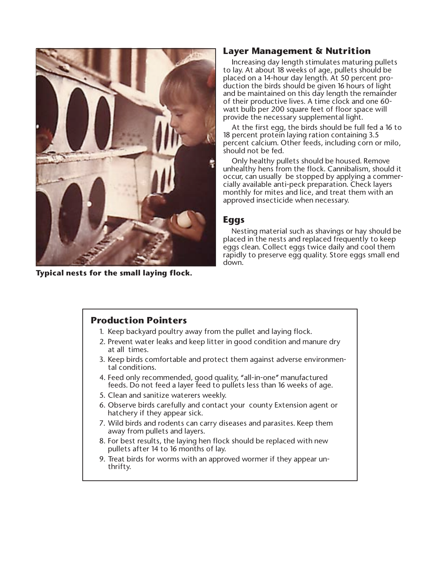

**Typical nests for the small laying flock.**

## **Layer Management & Nutrition**

Increasing day length stimulates maturing pullets to lay. At about 18 weeks of age, pullets should be placed on a 14-hour day length. At 50 percent production the birds should be given 16 hours of light and be maintained on this day length the remainder of their productive lives. A time clock and one 60 watt bulb per 200 square feet of floor space will provide the necessary supplemental light.

At the first egg, the birds should be full fed a 16 to 18 percent protein laying ration containing 3.5 percent calcium. Other feeds, including corn or milo, should not be fed.

Only healthy pullets should be housed. Remove unhealthy hens from the flock. Cannibalism, should it occur, can usually be stopped by applying a commercially available anti-peck preparation. Check layers monthly for mites and lice, and treat them with an approved insecticide when necessary.

#### **Eggs**

Nesting material such as shavings or hay should be placed in the nests and replaced frequently to keep eggs clean. Collect eggs twice daily and cool them rapidly to preserve egg quality. Store eggs small end down.

## **Production Pointers**

- 1. Keep backyard poultry away from the pullet and laying flock.
- 2. Prevent water leaks and keep litter in good condition and manure dry at all times.
- 3. Keep birds comfortable and protect them against adverse environmental conditions.
- 4. Feed only recommended, good quality, "all-in-one" manufactured feeds. Do not feed a layer feed to pullets less than 16 weeks of age.
- 5. Clean and sanitize waterers weekly.
- 6. Observe birds carefully and contact your county Extension agent or hatchery if they appear sick.
- 7. Wild birds and rodents can carry diseases and parasites. Keep them away from pullets and layers.
- 8. For best results, the laying hen flock should be replaced with new pullets after 14 to 16 months of lay.
- 9. Treat birds for worms with an approved wormer if they appear unthrifty.